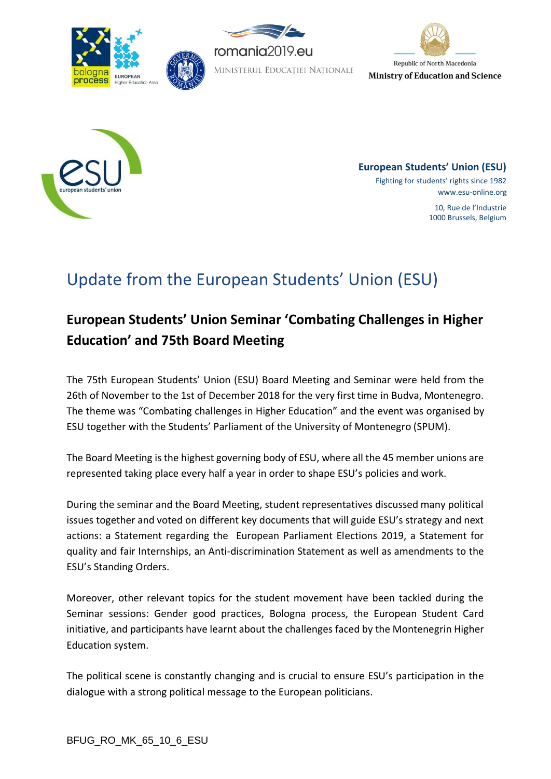







**European Students' Union (ESU)** Fighting for students' rights since 1982 www.esu-online.org 10, Rue de l'Industrie 1000 Brussels, Belgium

# Update from the European Students' Union (ESU)

## **European Students' Union Seminar 'Combating Challenges in Higher Education' and 75th Board Meeting**

The 75th European Students' Union (ESU) Board Meeting and Seminar were held from the 26th of November to the 1st of December 2018 for the very first time in Budva, Montenegro. The theme was "Combating challenges in Higher Education" and the event was organised by ESU together with the Students' Parliament of the University of Montenegro (SPUM).

The Board Meeting is the highest governing body of ESU, where all the 45 member unions are represented taking place every half a year in order to shape ESU's policies and work.

During the seminar and the Board Meeting, student representatives discussed many political issues together and voted on different key documents that will guide ESU's strategy and next actions: a Statement regarding the European Parliament Elections 2019, a Statement for quality and fair Internships, an Anti-discrimination Statement as well as amendments to the ESU's Standing Orders.

Moreover, other relevant topics for the student movement have been tackled during the Seminar sessions: Gender good practices, Bologna process, the European Student Card initiative, and participants have learnt about the challenges faced by the Montenegrin Higher Education system.

The political scene is constantly changing and is crucial to ensure ESU's participation in the dialogue with a strong political message to the European politicians.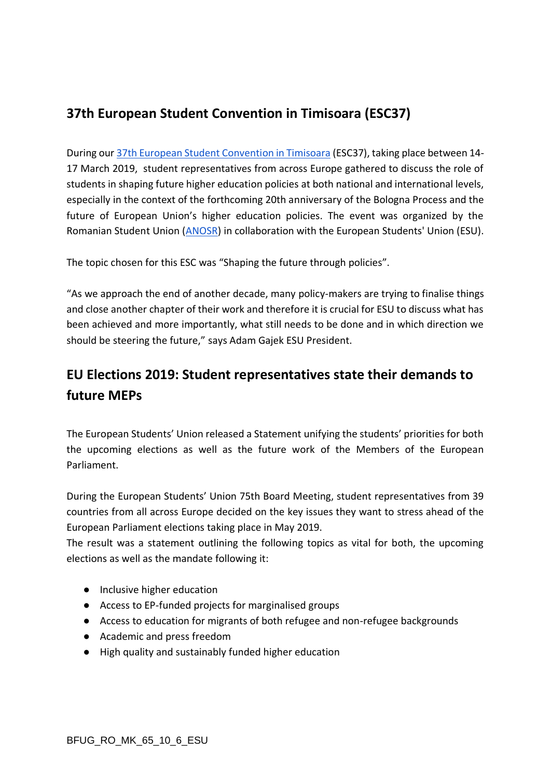#### **37th European Student Convention in Timisoara (ESC37)**

During our [37th European Student Convention in Timisoara](https://www.esu-online.org/?event=european-students-convention-37) (ESC37), taking place between 14- 17 March 2019, student representatives from across Europe gathered to discuss the role of students in shaping future higher education policies at both national and international levels, especially in the context of the forthcoming 20th anniversary of the Bologna Process and the future of European Union's higher education policies. The event was organized by the Romanian Student Union [\(ANOSR\)](https://www.esu-online.org/?member=romania-alianta-nationala-a-organizatiilor-studentesti-din-romania-anosr) in collaboration with the European Students' Union (ESU).

The topic chosen for this ESC was "Shaping the future through policies".

"As we approach the end of another decade, many policy-makers are trying to finalise things and close another chapter of their work and therefore it is crucial for ESU to discuss what has been achieved and more importantly, what still needs to be done and in which direction we should be steering the future," says Adam Gajek ESU President.

#### **EU Elections 2019: Student representatives state their demands to future MEPs**

The European Students' Union released a Statement unifying the students' priorities for both the upcoming elections as well as the future work of the Members of the European Parliament.

During the European Students' Union 75th Board Meeting, student representatives from 39 countries from all across Europe decided on the key issues they want to stress ahead of the European Parliament elections taking place in May 2019.

The result was a statement outlining the following topics as vital for both, the upcoming elections as well as the mandate following it:

- Inclusive higher education
- Access to EP-funded projects for marginalised groups
- Access to education for migrants of both refugee and non-refugee backgrounds
- Academic and press freedom
- High quality and sustainably funded higher education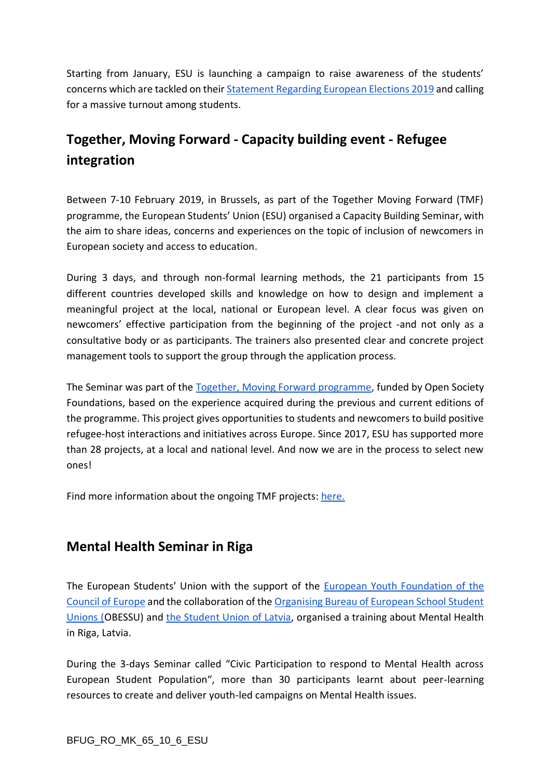Starting from January, ESU is launching a campaign to raise awareness of the students' concerns which are tackled on their [Statement Regarding European Elections 2019](https://www.esu-online.org/?policy=statement-european-parliament-elections-2019) and calling for a massive turnout among students.

### **Together, Moving Forward - Capacity building event - Refugee integration**

Between 7-10 February 2019, in Brussels, as part of the Together Moving Forward (TMF) programme, the European Students' Union (ESU) organised a Capacity Building Seminar, with the aim to share ideas, concerns and experiences on the topic of inclusion of newcomers in European society and access to education.

During 3 days, and through non-formal learning methods, the 21 participants from 15 different countries developed skills and knowledge on how to design and implement a meaningful project at the local, national or European level. A clear focus was given on newcomers' effective participation from the beginning of the project -and not only as a consultative body or as participants. The trainers also presented clear and concrete project management tools to support the group through the application process.

The Seminar was part of the [Together, Moving Forward programme,](https://www.esu-online.org/?project=together-moving-forward) funded by Open Society Foundations, based on the experience acquired during the previous and current editions of the programme. This project gives opportunities to students and newcomers to build positive refugee-host interactions and initiatives across Europe. Since 2017, ESU has supported more than 28 projects, at a local and national level. And now we are in the process to select new ones!

Find more information about the ongoing TMF projects: [here.](https://www.esu-online.org/together-moving-forward-projects/)

#### **Mental Health Seminar in Riga**

The European Students' Union with the support of the [European Youth Foundation of the](https://www.coe.int/en/web/european-youth-foundation)  [Council of Europe](https://www.coe.int/en/web/european-youth-foundation) and the collaboration of the [Organising Bureau of European School Student](https://www.obessu.org/about/structure/secretariat/)  [Unions \(O](https://www.obessu.org/about/structure/secretariat/)BESSU) and [the Student Union of Latvia,](http://www.lsa.lv/) organised a training about Mental Health in Riga, Latvia.

During the 3-days Seminar called "Civic Participation to respond to Mental Health across European Student Population", more than 30 participants learnt about peer-learning resources to create and deliver youth-led campaigns on Mental Health issues.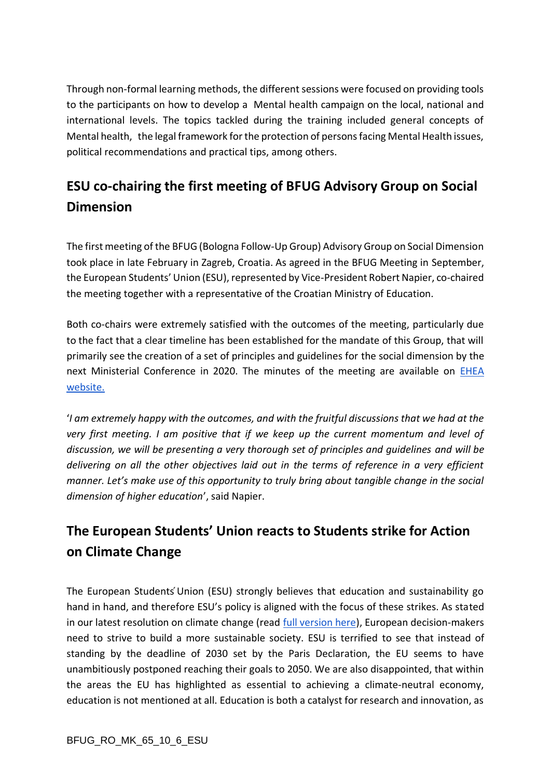Through non-formal learning methods, the different sessions were focused on providing tools to the participants on how to develop a Mental health campaign on the local, national and international levels. The topics tackled during the training included general concepts of Mental health, the legal framework for the protection of persons facing Mental Health issues, political recommendations and practical tips, among others.

### **ESU co-chairing the first meeting of BFUG Advisory Group on Social Dimension**

The first meeting of the BFUG (Bologna Follow-Up Group) Advisory Group on Social Dimension took place in late February in Zagreb, Croatia. As agreed in the BFUG Meeting in September, the European Students' Union (ESU), represented by Vice-President Robert Napier, co-chaired the meeting together with a representative of the Croatian Ministry of Education.

Both co-chairs were extremely satisfied with the outcomes of the meeting, particularly due to the fact that a clear timeline has been established for the mandate of this Group, that will primarily see the creation of a set of principles and guidelines for the social dimension by the next Ministerial Conference in 2020. The minutes of the meeting are available on [EHEA](http://ehea.info/Upload/AG1_SD_1_Minutes.pdf)  [website.](http://ehea.info/Upload/AG1_SD_1_Minutes.pdf)

'*I am extremely happy with the outcomes, and with the fruitful discussions that we had at the very first meeting. I am positive that if we keep up the current momentum and level of discussion, we will be presenting a very thorough set of principles and guidelines and will be delivering on all the other objectives laid out in the terms of reference in a very efficient manner. Let's make use of this opportunity to truly bring about tangible change in the social dimension of higher education*', said Napier.

### **The European Students' Union reacts to Students strike for Action on Climate Change**

The European Students Union (ESU) strongly believes that education and sustainability go hand in hand, and therefore ESU's policy is aligned with the focus of these strikes. As stated in our latest resolution on climate change (read [full version here\)](https://www.esu-online.org/?policy=resolution-regarding-climate-change), European decision-makers need to strive to build a more sustainable society. ESU is terrified to see that instead of standing by the deadline of 2030 set by the Paris Declaration, the EU seems to have unambitiously postponed reaching their goals to 2050. We are also disappointed, that within the areas the EU has highlighted as essential to achieving a climate-neutral economy, education is not mentioned at all. Education is both a catalyst for research and innovation, as